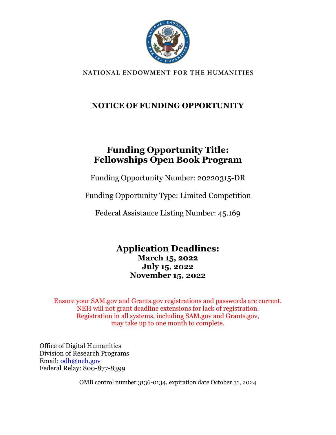

NATIONAL ENDOWMENT FOR THE HUMANITIES

### **NOTICE OF FUNDING OPPORTUNITY**

## **Funding Opportunity Title: Fellowships Open Book Program**

Funding Opportunity Number: 20220315-DR

Funding Opportunity Type: Limited Competition

Federal Assistance Listing Number: 45.169

**Application Deadlines: March 15, 2022 July 15, 2022 November 15, 2022**

Ensure your SAM.gov and Grants.gov registrations and passwords are current. NEH will not grant deadline extensions for lack of registration. Registration in all systems, including SAM.gov and Grants.gov, may take up to one month to complete.

Office of Digital Humanities Division of Research Programs Email: [odh@neh.gov](mailto:odh@neh.gov) Federal Relay: 800-877-8399

OMB control number 3136-0134, expiration date October 31, 2024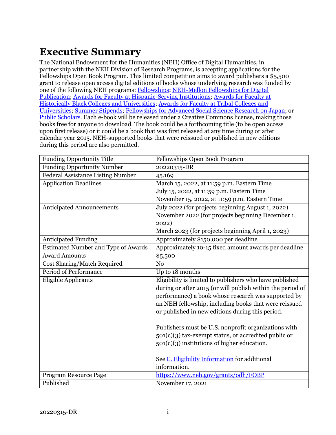# <span id="page-1-0"></span>**Executive Summary**

The National Endowment for the Humanities (NEH) Office of Digital Humanities, in partnership with the NEH Division of Research Programs, is accepting applications for the Fellowships Open Book Program. This limited competition aims to award publishers a \$5,500 grant to release open access digital editions of books whose underlying research was funded by one of the following NEH programs[: Fellowships;](https://www.neh.gov/grants/research/fellowships) [NEH-Mellon Fellowships for Digital](https://www.neh.gov/grants/research/neh-mellon-fellowships-digital-publication)  [Publication;](https://www.neh.gov/grants/research/neh-mellon-fellowships-digital-publication) [Awards for Faculty at Hispanic-Serving Institutions;](https://www.neh.gov/grants/research/awards-faculty-hispanic-serving-institutions) [Awards for Faculty at](https://www.neh.gov/grants/research/awards-faculty-historically-black-colleges-and-universities)  [Historically Black Colleges and Universities;](https://www.neh.gov/grants/research/awards-faculty-historically-black-colleges-and-universities) [Awards for Faculty at Tribal Colleges and](https://www.neh.gov/grants/research/awards-faculty-tribal-colleges-and-universities)  [Universities;](https://www.neh.gov/grants/research/awards-faculty-tribal-colleges-and-universities) [Summer Stipends;](https://www.neh.gov/grants/research/summer-stipends) [Fellowships for Advanced Social Science Research on Japan;](https://www.neh.gov/grants/research/fellowships-advanced-social-science-research-japan) or [Public Scholars.](https://www.neh.gov/grants/research/public-scholar-program) Each e-book will be released under a Creative Commons license, making those books free for anyone to download. The book could be a forthcoming title (to be open access upon first release) or it could be a book that was first released at any time during or after calendar year 2015. NEH-supported books that were reissued or published in new editions during this period are also permitted.

| <b>Funding Opportunity Title</b>         | Fellowships Open Book Program                              |  |  |
|------------------------------------------|------------------------------------------------------------|--|--|
| <b>Funding Opportunity Number</b>        | 20220315-DR                                                |  |  |
| <b>Federal Assistance Listing Number</b> | 45.169                                                     |  |  |
| <b>Application Deadlines</b>             | March 15, 2022, at 11:59 p.m. Eastern Time                 |  |  |
|                                          | July 15, 2022, at 11:59 p.m. Eastern Time                  |  |  |
|                                          | November 15, 2022, at 11:59 p.m. Eastern Time              |  |  |
| <b>Anticipated Announcements</b>         | July 2022 (for projects beginning August 1, 2022)          |  |  |
|                                          | November 2022 (for projects beginning December 1,          |  |  |
|                                          | 2022)                                                      |  |  |
|                                          | March 2023 (for projects beginning April 1, 2023)          |  |  |
| <b>Anticipated Funding</b>               | Approximately \$150,000 per deadline                       |  |  |
| Estimated Number and Type of Awards      | Approximately 10-15 fixed amount awards per deadline       |  |  |
| <b>Award Amounts</b>                     | \$5,500                                                    |  |  |
| Cost Sharing/Match Required              | N <sub>o</sub>                                             |  |  |
| <b>Period of Performance</b>             | Up to 18 months                                            |  |  |
| <b>Eligible Applicants</b>               | Eligibility is limited to publishers who have published    |  |  |
|                                          | during or after 2015 (or will publish within the period of |  |  |
|                                          | performance) a book whose research was supported by        |  |  |
|                                          | an NEH fellowship, including books that were reissued      |  |  |
|                                          | or published in new editions during this period.           |  |  |
|                                          |                                                            |  |  |
|                                          | Publishers must be U.S. nonprofit organizations with       |  |  |
|                                          | 501(c)(3) tax-exempt status, or accredited public or       |  |  |
|                                          | $501(c)(3)$ institutions of higher education.              |  |  |
|                                          |                                                            |  |  |
|                                          | See C. Eligibility Information for additional              |  |  |
|                                          | information.                                               |  |  |
| Program Resource Page                    | https://www.neh.gov/grants/odh/FOBP                        |  |  |
| Published                                | November 17, 2021                                          |  |  |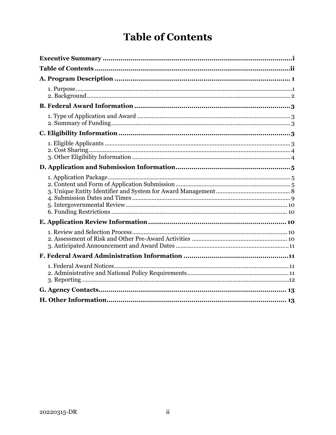# **Table of Contents**

<span id="page-2-0"></span>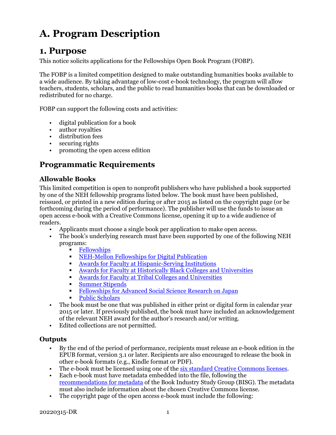# <span id="page-3-0"></span>**A. Program Description**

### <span id="page-3-1"></span>**1. Purpose**

This notice solicits applications for the Fellowships Open Book Program (FOBP).

The FOBP is a limited competition designed to make outstanding humanities books available to a wide audience. By taking advantage of low-cost e-book technology, the program will allow teachers, students, scholars, and the public to read humanities books that can be downloaded or redistributed for no charge.

FOBP can support the following costs and activities:

- digital publication for a book
- author royalties
- distribution fees
- securing rights
- promoting the open access edition

### **Programmatic Requirements**

#### **Allowable Books**

This limited competition is open to nonprofit publishers who have published a book supported by one of the NEH fellowship programs listed below. The book must have been published, reissued, or printed in a new edition during or after 2015 as listed on the copyright page (or be forthcoming during the period of performance). The publisher will use the funds to issue an open access e-book with a Creative Commons license, opening it up to a wide audience of readers.

- Applicants must choose a single book per application to make open access.
- The book's underlying research must have been supported by one of the following NEH programs:
	- <u>[Fellowships](https://www.neh.gov/grants/research/fellowships)</u><br>NEH-Mellor
	- [NEH-Mellon Fellowships for Digital Publication](https://www.neh.gov/grants/research/neh-mellon-fellowships-digital-publication)
	- [Awards for Faculty at Hispanic-Serving Institutions](https://www.neh.gov/grants/research/awards-faculty-hispanic-serving-institutions)<br>Awards for Faculty at Historically Black Colleges and
	- Awards for [Faculty at Historically Black Colleges and Universities](https://www.neh.gov/grants/research/awards-faculty-historically-black-colleges-and-universities)
	- [Awards for Faculty at Tribal Colleges and Universities](https://www.neh.gov/grants/research/awards-faculty-tribal-colleges-and-universities)
	- [Summer Stipends](https://www.neh.gov/grants/research/summer-stipends)
	- [Fellowships for Advanced Social Science Research on Japan](https://www.neh.gov/grants/research/fellowships-advanced-social-science-research-japan)
	- [Public Scholars](https://www.neh.gov/grants/research/public-scholar-program)
- The book must be one that was published in either print or digital form in calendar year 2015 or later. If previously published, the book must have included an acknowledgement of the relevant NEH award for the author's research and/or writing.
- Edited collections are not permitted.

#### **Outputs**

- By the end of the period of performance, recipients must release an e-book edition in the EPUB format, version 3.1 or later. Recipients are also encouraged to release the book in other e-book formats (e.g., Kindle format or PDF).
- The e-book must be licensed using one of the [six standard Creative Commons licenses.](https://creativecommons.org/licenses/)
- Each e-book must have metadata embedded into the file, following the [recommendations for metadata](https://bisg.org/page/metadata) of the Book Industry Study Group (BISG). The metadata must also include information about the chosen Creative Commons license.
- The copyright page of the open access e-book must include the following: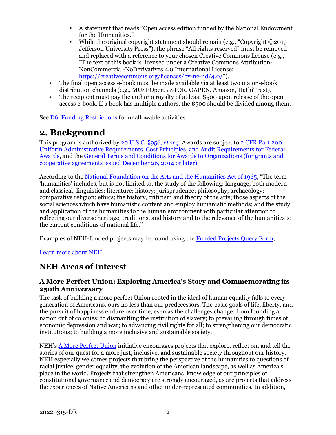- A statement that reads "Open access edition funded by the National Endowment for the Humanities."
- While the original copyright statement should remain (e.g., "Copyright ©2019 Jefferson University Press"), the phrase "All rights reserved" must be removed and replaced with a reference to your chosen Creative Commons license (e.g., "The text of this book is licensed under a Creative Commons Attribution-NonCommercial-NoDerivatives 4.0 International License: [https://creativecommons.org/licenses/by-nc-nd/4.0/"](https://creativecommons.org/licenses/by-nc-nd/4.0/)).
- The final open access e-book must be made available via at least two major e-book distribution channels (e.g., MUSEOpen, JSTOR, OAPEN, Amazon, HathiTrust).
- The recipient must pay the author a royalty of at least \$500 upon release of the open access e-book. If a book has multiple authors, the \$500 should be divided among them.

See [D6. Funding Restrictions](#page-12-1) for unallowable activities.

## <span id="page-4-0"></span>**2. Background**

This program is authorized by [20 U.S.C.](https://uscode.house.gov/view.xhtml?hl=false&edition=prelim&req=granuleid%3AUSC-prelim-title20-section956&num=0&saved=%7CKHRpdGxlOjIwIHNlY3Rpb246OTU2YSBlZGl0aW9uOnByZWxpbSk%3D%7C%7C%7C0%7Cfalse%7Cprelim) §956, *et seq*. Awards are subject to 2 CFR Part 200 [Uniform Administrative Requirements, Cost Principles, and Audit Requirements for Federal](https://www.ecfr.gov/cgi-bin/text-idx?SID=236bb02f01d2e050f7a5b60c88a67066&mc=true&node=pt2.1.200&rgn=div5)  [Awards,](https://www.ecfr.gov/cgi-bin/text-idx?SID=236bb02f01d2e050f7a5b60c88a67066&mc=true&node=pt2.1.200&rgn=div5) and the [General Terms and Conditions for Awards to Organizations \(for grants and](https://www.neh.gov/grants/manage/general-terms-and-conditions-awards-organizations-grants-and-cooperative-agreements-issued-december)  [cooperative agreements issued December 26, 2014 or later\).](https://www.neh.gov/grants/manage/general-terms-and-conditions-awards-organizations-grants-and-cooperative-agreements-issued-december)

According to the [National Foundation on the Arts and the Humanities Act](https://www.neh.gov/about/history/national-foundation-arts-and-humanities-act-1965-pl-89-209) of 1965, "The term 'humanities' includes, but is not limited to, the study of the following: language, both modern and classical; linguistics; literature; history; jurisprudence; philosophy; archaeology; comparative religion; ethics; the history, criticism and theory of the arts; those aspects of the social sciences which have humanistic content and employ humanistic methods; and the study and application of the humanities to the human environment with particular attention to reflecting our diverse heritage, traditions, and history and to the relevance of the humanities to the current conditions of national life."

Examples of NEH-funded projects may be found using the [Funded Projects](https://securegrants.neh.gov/publicquery/main.aspx) Query Form.

[Learn more about NEH.](https://www.neh.gov/about)

### **NEH Areas of Interest**

#### **A More Perfect Union: Exploring America's Story and Commemorating its 250th Anniversary**

The task of building a more perfect Union rooted in the ideal of human equality falls to every generation of Americans, ours no less than our predecessors. The basic goals of life, liberty, and the pursuit of happiness endure over time, even as the challenges change: from founding a nation out of colonies; to dismantling the institution of slavery; to prevailing through times of economic depression and war; to advancing civil rights for all; to strengthening our democratic institutions; to building a more inclusive and sustainable society.

NEH's [A More Perfect Union](https://www.neh.gov/250) initiative encourages projects that explore, reflect on, and tell the stories of our quest for a more just, inclusive, and sustainable society throughout our history. NEH especially welcomes projects that bring the perspective of the humanities to questions of racial justice, gender equality, the evolution of the American landscape, as well as America's place in the world. Projects that strengthen Americans' knowledge of our principles of constitutional governance and democracy are strongly encouraged, as are projects that address the experiences of Native Americans and other under-represented communities. In addition,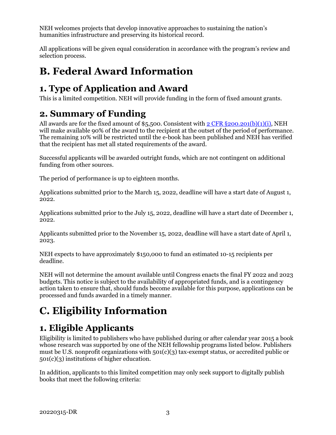<span id="page-5-2"></span>NEH welcomes projects that develop innovative approaches to sustaining the nation's humanities infrastructure and preserving its historical record.

All applications will be given equal consideration in accordance with the program's review and selection process.

# <span id="page-5-0"></span>**B. Federal Award Information**

# <span id="page-5-1"></span>**1. Type of Application and Award**

This is a limited competition. NEH will provide funding in the form of fixed amount grants.

# **2. Summary of Funding**

All awards are for the fixed amount of \$5,500. Consistent with  $2$  CFR  $\S 200.201(b)(1)(i)$ , NEH will make available 90% of the award to the recipient at the outset of the period of performance. The remaining 10% will be restricted until the e-book has been published and NEH has verified that the recipient has met all stated requirements of the award.

Successful applicants will be awarded outright funds, which are not contingent on additional funding from other sources.

The period of performance is up to eighteen months.

Applications submitted prior to the March 15, 2022, deadline will have a start date of August 1, 2022.

Applications submitted prior to the July 15, 2022, deadline will have a start date of December 1, 2022.

Applicants submitted prior to the November 15, 2022, deadline will have a start date of April 1, 2023.

NEH expects to have approximately \$150,000 to fund an estimated 10-15 recipients per deadline.

NEH will not determine the amount available until Congress enacts the final FY 2022 and 2023 budgets. This notice is subject to the availability of appropriated funds, and is a contingency action taken to ensure that, should funds become available for this purpose, applications can be processed and funds awarded in a timely manner.

# <span id="page-5-3"></span>**C. Eligibility Information**

# <span id="page-5-4"></span>**1. Eligible Applicants**

Eligibility is limited to publishers who have published during or after calendar year 2015 a book whose research was supported by one of the NEH fellowship programs listed below. Publishers must be U.S. nonprofit organizations with 501(c)(3) tax-exempt status, or accredited public or 501(c)(3) institutions of higher education.

In addition, applicants to this limited competition may only seek support to digitally publish books that meet the following criteria: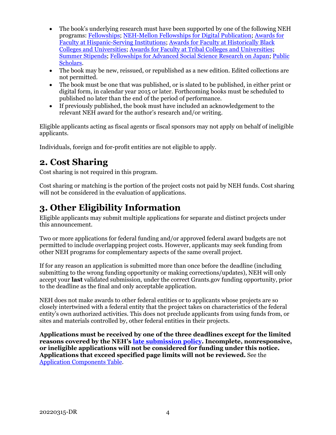- The book's underlying research must have been supported by one of the following NEH programs: [Fellowships;](https://www.neh.gov/grants/research/fellowships) [NEH-Mellon Fellowships for Digital Publication;](https://www.neh.gov/grants/research/neh-mellon-fellowships-digital-publication) [Awards for](https://www.neh.gov/grants/research/awards-faculty-hispanic-serving-institutions)  [Faculty at Hispanic-Serving Institutions;](https://www.neh.gov/grants/research/awards-faculty-hispanic-serving-institutions) [Awards for Faculty at Historically Black](https://www.neh.gov/grants/research/awards-faculty-historically-black-colleges-and-universities)  [Colleges and Universities;](https://www.neh.gov/grants/research/awards-faculty-historically-black-colleges-and-universities) [Awards for Faculty at Tribal Colleges and Universities;](https://www.neh.gov/grants/research/awards-faculty-tribal-colleges-and-universities) [Summer Stipends;](https://www.neh.gov/grants/research/summer-stipends) [Fellowships for Advanced Social Science Research on Japan;](https://www.neh.gov/grants/research/fellowships-advanced-social-science-research-japan) [Public](https://www.neh.gov/grants/research/public-scholar-program)  [Scholars.](https://www.neh.gov/grants/research/public-scholar-program)
- The book may be new, reissued, or republished as a new edition. Edited collections are not permitted.
- The book must be one that was published, or is slated to be published, in either print or digital form, in calendar year 2015 or later. Forthcoming books must be scheduled to published no later than the end of the period of performance.
- If previously published, the book must have included an acknowledgement to the relevant NEH award for the author's research and/or writing.

Eligible applicants acting as fiscal agents or fiscal sponsors may not apply on behalf of ineligible applicants.

Individuals, foreign and for-profit entities are not eligible to apply.

## <span id="page-6-0"></span>**2. Cost Sharing**

Cost sharing is not required in this program.

Cost sharing or matching is the portion of the project costs not paid by NEH funds. Cost sharing will not be considered in the evaluation of applications.

## <span id="page-6-1"></span>**3. Other Eligibility Information**

Eligible applicants may submit multiple applications for separate and distinct projects under this announcement.

Two or more applications for federal funding and/or approved federal award budgets are not permitted to include overlapping project costs. However, applicants may seek funding from other NEH programs for complementary aspects of the same overall project.

If for any reason an application is submitted more than once before the deadline (including submitting to the wrong funding opportunity or making corrections/updates), NEH will only accept your **last** validated submission, under the correct Grants.gov funding opportunity, prior to the deadline as the final and only acceptable application.

NEH does not make awards to other federal entities or to applicants whose projects are so closely intertwined with a federal entity that the project takes on characteristics of the federal entity's own authorized activities. This does not preclude applicants from using funds from, or sites and materials controlled by, other federal entities in their projects.

**Applications must be received by one of the three deadlines except for the limited reasons covered by the NEH's [late submission policy.](https://www.neh.gov/grants/policy-on-late-submissions) Incomplete, nonresponsive, or ineligible applications will not be considered for funding under this notice. Applications that exceed specified page limits will not be reviewed.** See the [Application Components Table.](#page-7-2)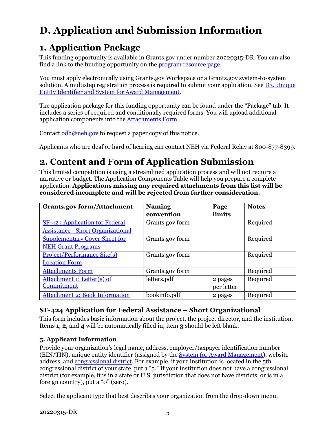# <span id="page-7-3"></span><span id="page-7-0"></span>**D. Application and Submission Information**

# <span id="page-7-1"></span>**1. Application Package**

This funding opportunity is available in Grants.gov under number 20220315-DR. You can also find a link to the funding opportunity on the [program resource page.](https://www.neh.gov/grants/odh/FOBP)

You must apply electronically using Grants.gov Workspace or a Grants.gov system-to-system solution. A multistep registration process is required to submit your application. See D3. [Unique](#page-10-0)  [Entity Identifier and System for Award Management.](#page-10-0)

The application package for this funding opportunity can be found under the "Package" tab. It includes a series of required and conditionally required forms. You will upload additional application components into th[e Attachments Form.](#page-9-0)

Contact  $odh@neh.gov$  to request a paper copy of this notice.

Applicants who are deaf or hard of hearing can contact NEH via Federal Relay at 800-877-8399.

# <span id="page-7-2"></span>**2. Content and Form of Application Submission**

This limited competition is using a streamlined application process and will not require a narrative or budget. The Application Components Table will help you prepare a complete application. **Applications missing any required attachments from this list will be considered incomplete and will be rejected from further consideration.**

| <b>Grants.gov form/Attachment</b>        | <b>Naming</b>   | Page       | <b>Notes</b> |
|------------------------------------------|-----------------|------------|--------------|
|                                          | convention      | limits     |              |
| <b>SF-424 Application for Federal</b>    | Grants.gov form |            | Required     |
| <b>Assistance - Short Organizational</b> |                 |            |              |
| <b>Supplementary Cover Sheet for</b>     | Grants.gov form |            | Required     |
| <b>NEH Grant Programs</b>                |                 |            |              |
| <b>Project/Performance Site(s)</b>       | Grants.gov form |            | Required     |
| <b>Location Form</b>                     |                 |            |              |
| <b>Attachments Form</b>                  | Grants.gov form |            | Required     |
| Attachment 1: Letter(s) of               | letters.pdf     | 2 pages    | Required     |
| Commitment                               |                 | per letter |              |
| <b>Attachment 2: Book Information</b>    | bookinfo.pdf    | 2 pages    | Required     |

#### **SF-424 Application for Federal Assistance – Short Organizational**

This form includes basic information about the project, the project director, and the institution. Items **1**, **2**, and **4** will be automatically filled in; item **3** should be left blank.

#### **5. Applicant Information**

Provide your organization's legal name, address, employer/taxpayer identification number (EIN/TIN), unique entity identifier (assigned by the [System for Award Management\)](#page-10-0), website address, and [congressional district.](https://www.house.gov/representatives/find-your-representative) For example, if your institution is located in the 5th congressional district of your state, put a "5." If your institution does not have a congressional district (for example, it is in a state or U.S. jurisdiction that does not have districts, or is in a foreign country), put a "0" (zero).

Select the applicant type that best describes your organization from the drop-down menu.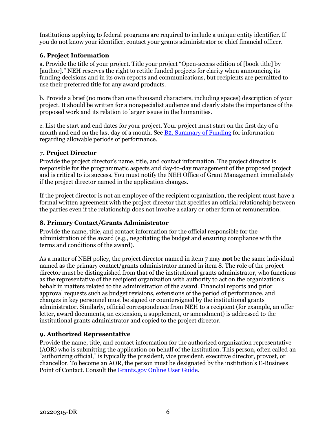Institutions applying to federal programs are required to include a unique entity identifier. If you do not know your identifier, contact your grants administrator or chief financial officer.

#### **6. Project Information**

a. Provide the title of your project. Title your project "Open-access edition of [book title] by [author]." NEH reserves the right to retitle funded projects for clarity when announcing its funding decisions and in its own reports and communications, but recipients are permitted to use their preferred title for any award products.

b. Provide a brief (no more than one thousand characters, including spaces) description of your project. It should be written for a nonspecialist audience and clearly state the importance of the proposed work and its relation to larger issues in the humanities.

c. List the start and end dates for your project. Your project must start on the first day of a month and end on the last day of a month. See [B2. Summary of Funding](#page-5-2) for information regarding allowable periods of performance.

#### **7. Project Director**

Provide the project director's name, title, and contact information. The project director is responsible for the programmatic aspects and day-to-day management of the proposed project and is critical to its success. You must notify the NEH Office of Grant Management immediately if the project director named in the application changes.

If the project director is not an employee of the recipient organization, the recipient must have a formal written agreement with the project director that specifies an official relationship between the parties even if the relationship does not involve a salary or other form of remuneration.

#### **8. Primary Contact/Grants Administrator**

Provide the name, title, and contact information for the official responsible for the administration of the award (e.g., negotiating the budget and ensuring compliance with the terms and conditions of the award).

As a matter of NEH policy, the project director named in item 7 may **not** be the same individual named as the primary contact/grants administrator named in item 8. The role of the project director must be distinguished from that of the institutional grants administrator, who functions as the representative of the recipient organization with authority to act on the organization's behalf in matters related to the administration of the award. Financial reports and prior approval requests such as budget revisions, extensions of the period of performance, and changes in key personnel must be signed or countersigned by the institutional grants administrator. Similarly, official correspondence from NEH to a recipient (for example, an offer letter, award documents, an extension, a supplement, or amendment) is addressed to the institutional grants administrator and copied to the project director.

#### **9. Authorized Representative**

Provide the name, title, and contact information for the authorized organization representative (AOR) who is submitting the application on behalf of the institution. This person, often called an "authorizing official," is typically the president, vice president, executive director, provost, or chancellor. To become an AOR, the person must be designated by the institution's E-Business Point of Contact. Consult the [Grants.gov Online User Guide.](https://apply07.grants.gov/help/html/help/index.htm#t=GetStarted%2FGetStarted.htm)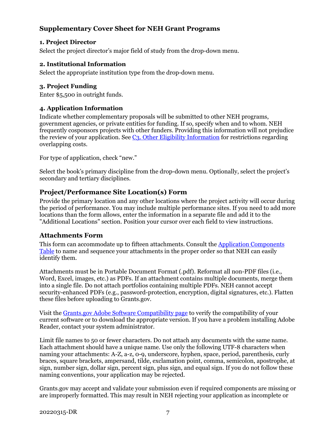#### <span id="page-9-0"></span>**Supplementary Cover Sheet for NEH Grant Programs**

#### **1. Project Director**

Select the project director's major field of study from the drop-down menu.

#### **2. Institutional Information**

Select the appropriate institution type from the drop-down menu.

#### **3. Project Funding**

Enter \$5,500 in outright funds.

#### **4. Application Information**

Indicate whether complementary proposals will be submitted to other NEH programs, government agencies, or private entities for funding. If so, specify when and to whom. NEH frequently cosponsors projects with other funders. Providing this information will not prejudice the review of your application. See C3. Other Eligibility Information for restrictions regarding overlapping costs.

For type of application, check "new."

Select the book's primary discipline from the drop-down menu. Optionally, select the project's secondary and tertiary disciplines.

#### **Project/Performance Site Location(s) Form**

Provide the primary location and any other locations where the project activity will occur during the period of performance. You may include multiple performance sites. If you need to add more locations than the form allows, enter the information in a separate file and add it to the "Additional Locations" section. Position your cursor over each field to view instructions.

#### **Attachments Form**

This form can accommodate up to fifteen attachments. Consult the [Application Components](#page-7-3) [Table](#page-7-3) to name and sequence your attachments in the proper order so that NEH can easily identify them.

Attachments must be in Portable Document Format (.pdf). Reformat all non-PDF files (i.e., Word, Excel, images, etc.) as PDFs. If an attachment contains multiple documents, merge them into a single file. Do not attach portfolios containing multiple PDFs. NEH cannot accept security-enhanced PDFs (e.g., password-protection, encryption, digital signatures, etc.). Flatten these files before uploading to Grants.gov.

Visit the Grants.gov [Adobe Software Compatibility page](https://www.grants.gov/web/grants/applicants/adobe-software-compatibility.html) to verify the compatibility of your current software or to download the appropriate version. If you have a problem installing Adobe Reader, contact your system administrator.

Limit file names to 50 or fewer characters. Do not attach any documents with the same name. Each attachment should have a unique name. Use only the following UTF-8 characters when naming your attachments: A-Z, a-z, 0-9, underscore, hyphen, space, period, parenthesis, curly braces, square brackets, ampersand, tilde, exclamation point, comma, semicolon, apostrophe, at sign, number sign, dollar sign, percent sign, plus sign, and equal sign. If you do not follow these naming conventions, your application may be rejected.

Grants.gov may accept and validate your submission even if required components are missing or are improperly formatted. This may result in NEH rejecting your application as incomplete or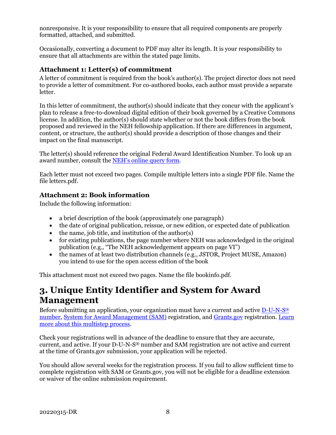<span id="page-10-0"></span>nonresponsive. It is your responsibility to ensure that all required components are properly formatted, attached, and submitted.

Occasionally, converting a document to PDF may alter its length. It is your responsibility to ensure that all attachments are within the stated page limits.

#### **Attachment 1: Letter(s) of commitment**

A letter of commitment is required from the book's author(s). The project director does not need to provide a letter of commitment. For co-authored books, each author must provide a separate letter.

In this letter of commitment, the author(s) should indicate that they concur with the applicant's plan to release a free-to-download digital edition of their book governed by a Creative Commons license. In addition, the author(s) should state whether or not the book differs from the book proposed and reviewed in the NEH fellowship application. If there are differences in argument, content, or structure, the author(s) should provide a description of those changes and their impact on the final manuscript.

The letter(s) should reference the original Federal Award Identification Number. To look up an award number, consult the [NEH's online query form.](https://securegrants.neh.gov/publicquery/main.aspx)

Each letter must not exceed two pages. Compile multiple letters into a single PDF file. Name the file letters.pdf.

#### **Attachment 2: Book information**

Include the following information:

- a brief description of the book (approximately one paragraph)
- the date of original publication, reissue, or new edition, or expected date of publication
- the name, job title, and institution of the author(s)
- for existing publications, the page number where NEH was acknowledged in the original publication (e.g., "The NEH acknowledgement appears on page VI")
- the names of at least two distribution channels (e.g., JSTOR, Project MUSE, Amazon) you intend to use for the open access edition of the book

This attachment must not exceed two pages. Name the file bookinfo.pdf.

### **3. Unique Entity Identifier and System for Award Management**

Before submitting an application, your organization must have a current and active [D-U-N-S®](#page-11-1) [number,](#page-11-1) [System for Award Management \(SAM\)](#page-11-2) registration, an[d Grants.gov](#page-11-3) registration. [Learn](https://www.grants.gov/web/grants/applicants/organization-registration.html)  [more about this multistep process.](https://www.grants.gov/web/grants/applicants/organization-registration.html)

Check your registrations well in advance of the deadline to ensure that they are accurate, current, and active. If your D-U-N-S® number and SAM registration are not active and current at the time of Grants.gov submission, your application will be rejected.

You should allow several weeks for the registration process. If you fail to allow sufficient time to complete registration with SAM or Grants.gov, you will not be eligible for a deadline extension or waiver of the online submission requirement.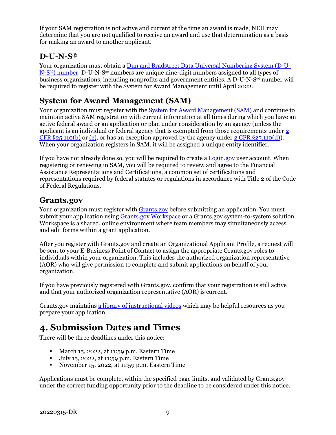If your SAM registration is not active and current at the time an award is made, NEH may determine that you are not qualified to receive an award and use that determination as a basis for making an award to another applicant.

### <span id="page-11-1"></span>**D-U-N-S®**

Your organization must obtain a [Dun and Bradstreet Data Universal Numbering System \(D-U-](https://fedgov.dnb.com/webform)[N-S®\) number.](https://fedgov.dnb.com/webform) D-U-N-S® numbers are unique nine-digit numbers assigned to all types of business organizations, including nonprofits and government entities. A D-U-N-S® number will be required to register with the System for Award Management until April 2022.

### <span id="page-11-2"></span>**System for Award Management (SAM)**

Your organization must register with the [System for Award Management \(SAM\)](https://www.sam.gov/SAM/) and continue to maintain active SAM registration with current information at all times during which you have an active federal award or an application or plan under consideration by an agency (unless the applicant is an individual or federal agency that is exempted from those requirements under [2](https://www.ecfr.gov/cgi-bin/text-idx?SID=a6de19ef87dd3683cbfcb9e3d261fffa&mc=true&node=se2.1.25_1110&rgn=div8)  CFR  $\S25.110(b)$  or (c), or has an exception approved by the agency under 2 CFR  $\S25.110(d)$ . When your organization registers in SAM, it will be assigned a unique entity identifier.

If you have not already done so, you will be required to create a [Login.gov](https://www.login.gov/) user account. When registering or renewing in SAM, you will be required to review and agree to the Financial Assistance Representations and Certifications, a common set of certifications and representations required by federal statutes or regulations in accordance with Title 2 of the Code of Federal Regulations.

### <span id="page-11-3"></span>**Grants.gov**

Your organization must register with [Grants.gov](https://www.grants.gov/web/grants) before submitting an application. You must submit your application using [Grants.gov Workspace](https://www.grants.gov/web/grants/applicants/workspace-overview.html) or a Grants.gov system-to-system solution. Workspace is a shared, online environment where team members may simultaneously access and edit forms within a grant application.

After you register with Grants.gov and create an Organizational Applicant Profile, a request will be sent to your E-Business Point of Contact to assign the appropriate Grants.gov roles to individuals within your organization. This includes the authorized organization representative (AOR) who will give permission to complete and submit applications on behalf of your organization.

If you have previously registered with Grants.gov, confirm that your registration is still active and that your authorized organization representative (AOR) is current.

Grants.gov maintains [a library of instructional videos](https://www.grants.gov/web/grants/applicants/applicant-training.html) which may be helpful resources as you prepare your application.

## <span id="page-11-0"></span>**4. Submission Dates and Times**

There will be three deadlines under this notice:

- March 15, 2022, at 11:59 p.m. Eastern Time
- July 15, 2022, at 11:59 p.m. Eastern Time
- November 15, 2022, at 11:59 p.m. Eastern Time

Applications must be complete, within the specified page limits, and validated by Grants.gov under the correct funding opportunity prior to the deadline to be considered under this notice.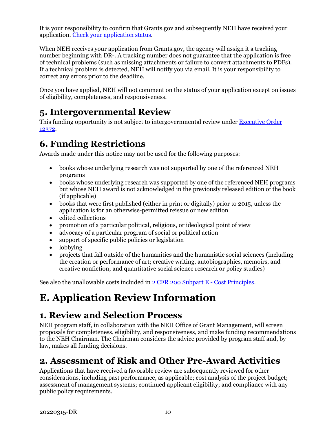<span id="page-12-3"></span>It is your responsibility to confirm that Grants.gov and subsequently NEH have received your application. [Check your application status.](https://www.grants.gov/help/html/help/Applicants/CheckApplicationStatus/CheckApplicationStatus.htm)

When NEH receives your application from Grants.gov, the agency will assign it a tracking number beginning with DR-. A tracking number does not guarantee that the application is free of technical problems (such as missing attachments or failure to convert attachments to PDFs). If a technical problem is detected, NEH will notify you via email. It is your responsibility to correct any errors prior to the deadline.

Once you have applied, NEH will not comment on the status of your application except on issues of eligibility, completeness, and responsiveness.

### <span id="page-12-0"></span>**5. Intergovernmental Review**

This funding opportunity is not subject to intergovernmental review under [Executive Order](https://www.archives.gov/federal-register/codification/executive-order/12372.html)  [12372.](https://www.archives.gov/federal-register/codification/executive-order/12372.html)

## <span id="page-12-1"></span>**6. Funding Restrictions**

Awards made under this notice may not be used for the following purposes:

- books whose underlying research was not supported by one of the referenced NEH programs
- books whose underlying research was supported by one of the referenced NEH programs but whose NEH award is not acknowledged in the previously released edition of the book (if applicable)
- books that were first published (either in print or digitally) prior to 2015, unless the application is for an otherwise-permitted reissue or new edition
- edited collections
- promotion of a particular political, religious, or ideological point of view
- advocacy of a particular program of social or political action
- support of specific public policies or legislation
- lobbying
- projects that fall outside of the humanities and the humanistic social sciences (including the creation or performance of art; creative writing, autobiographies, memoirs, and creative nonfiction; and quantitative social science research or policy studies)

See also the unallowable costs included in [2 CFR 200 Subpart E -](https://www.ecfr.gov/cgi-bin/text-idx?SID=236bb02f01d2e050f7a5b60c88a67066&mc=true&node=pt2.1.200&rgn=div5#sp2.1.200.e) Cost Principles.

# <span id="page-12-2"></span>**E. Application Review Information**

## **1. Review and Selection Process**

NEH program staff, in collaboration with the NEH Office of Grant Management, will screen proposals for completeness, eligibility, and responsiveness, and make funding recommendations to the NEH Chairman. The Chairman considers the advice provided by program staff and, by law, makes all funding decisions.

## <span id="page-12-4"></span>**2. Assessment of Risk and Other Pre-Award Activities**

Applications that have received a favorable review are subsequently reviewed for other considerations, including past performance, as applicable; cost analysis of the project budget; assessment of management systems; continued applicant eligibility; and compliance with any public policy requirements.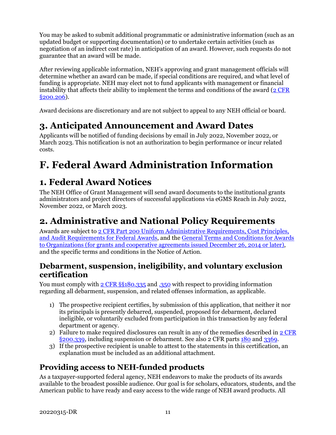You may be asked to submit additional programmatic or administrative information (such as an updated budget or supporting documentation) or to undertake certain activities (such as negotiation of an indirect cost rate) in anticipation of an award. However, such requests do not guarantee that an award will be made.

After reviewing applicable information, NEH's approving and grant management officials will determine whether an award can be made, if special conditions are required, and what level of funding is appropriate. NEH may elect not to fund applicants with management or financial instability that affects their ability to implement the terms and conditions of the award  $(2 \text{ CFR})$ [§200.206\)](https://www.ecfr.gov/cgi-bin/text-idx?SID=2262ad9c20e9d3a49f2c569c773c8aa1&mc=true&node=pt2.1.200&rgn=div5#se2.1.200_1206).

Award decisions are discretionary and are not subject to appeal to any NEH official or board.

# <span id="page-13-0"></span>**3. Anticipated Announcement and Award Dates**

Applicants will be notified of funding decisions by email in July 2022, November 2022, or March 2023. This notification is not an authorization to begin performance or incur related costs.

# <span id="page-13-1"></span>**F. Federal Award Administration Information**

## <span id="page-13-2"></span>**1. Federal Award Notices**

The NEH Office of Grant Management will send award documents to the institutional grants administrators and project directors of successful applications via eGMS Reach in July 2022, November 2022, or March 2023.

# <span id="page-13-3"></span>**2. Administrative and National Policy Requirements**

Awards are subject to [2 CFR Part 200 Uniform Administrative Requirements, Cost Principles,](https://www.ecfr.gov/cgi-bin/text-idx?SID=236bb02f01d2e050f7a5b60c88a67066&mc=true&node=pt2.1.200&rgn=div5)  [and Audit Requirements for Federal Awards,](https://www.ecfr.gov/cgi-bin/text-idx?SID=236bb02f01d2e050f7a5b60c88a67066&mc=true&node=pt2.1.200&rgn=div5) and the [General Terms and Conditions for Awards](https://www.neh.gov/grants/manage/general-terms-and-conditions-awards-organizations-grants-and-cooperative-agreements-issued-december)  [to Organizations \(for grants and cooperative agreements issued December 26, 2014 or later\),](https://www.neh.gov/grants/manage/general-terms-and-conditions-awards-organizations-grants-and-cooperative-agreements-issued-december) and the specific terms and conditions in the Notice of Action.

### **Debarment, suspension, ineligibility, and voluntary exclusion certification**

You must comply with 2 CFR  $\S$ 5180.335 and [.350](https://www.ecfr.gov/cgi-bin/text-idx?SID=8484a1410effbe760bcb6b134d9c035a&mc=true&node=pt2.1.180&rgn=div5#se2.1.180_1350) with respect to providing information regarding all debarment, suspension, and related offenses information, as applicable.

- 1) The prospective recipient certifies, by submission of this application, that neither it nor its principals is presently debarred, suspended, proposed for debarment, declared ineligible, or voluntarily excluded from participation in this transaction by any federal department or agency.
- 2) Failure to make required disclosures can result in any of the remedies described in  $2$  CFR [§200.339,](https://www.ecfr.gov/cgi-bin/text-idx?SID=2262ad9c20e9d3a49f2c569c773c8aa1&mc=true&node=pt2.1.200&rgn=div5#se2.1.200_1339) including suspension or debarment. See also 2 CFR parts [180](https://www.ecfr.gov/cgi-bin/text-idx?tpl=/ecfrbrowse/Title02/2cfr180_main_02.tpl) and [3369.](https://www.ecfr.gov/cgi-bin/text-idx?SID=902a748402bef7d8543f27adaf553773&mc=true&node=pt2.1.3369&rgn=div5)
- 3) If the prospective recipient is unable to attest to the statements in this certification, an explanation must be included as an additional attachment.

### **Providing access to NEH-funded products**

As a taxpayer-supported federal agency, NEH endeavors to make the products of its awards available to the broadest possible audience. Our goal is for scholars, educators, students, and the American public to have ready and easy access to the wide range of NEH award products. All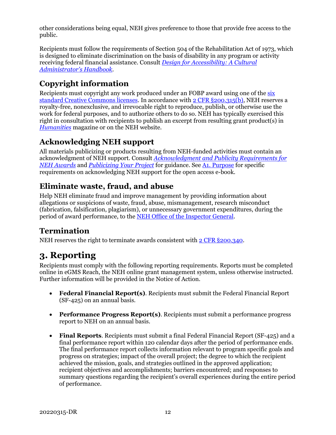other considerations being equal, NEH gives preference to those that provide free access to the public.

Recipients must follow the requirements of Section 504 of the Rehabilitation Act of 1973, which is designed to eliminate discrimination on the basis of disability in any program or activity receiving federal financial assistance. Consult *[Design for Accessibility: A Cultural](https://www.arts.gov/sites/default/files/Design-for-Accessibility.pdf)  [Administrator's Handbook](https://www.arts.gov/sites/default/files/Design-for-Accessibility.pdf)*.

### **Copyright information**

Recipients must copyright any work produced under an FOBP award using one of the [six](https://creativecommons.org/licenses/)  [standard Creative Commons licenses.](https://creativecommons.org/licenses/) In accordance with 2 CFR [§200.315\(b\),](https://www.ecfr.gov/cgi-bin/text-idx?SID=245f872e0bd31305c176712cd2b8b767&mc=true&node=se2.1.200_1315&rgn=div8) NEH reserves a royalty-free, nonexclusive, and irrevocable right to reproduce, publish, or otherwise use the work for federal purposes, and to authorize others to do so. NEH has typically exercised this right in consultation with recipients to publish an excerpt from resulting grant product(s) in *[Humanities](https://www.neh.gov/humanities)* magazine or on the NEH website.

### **Acknowledging NEH support**

All materials publicizing or products resulting from NEH-funded activities must contain an acknowledgment of NEH support. Consult *[Acknowledgment and Publicity Requirements for](https://www.neh.gov/grants/manage/acknowledgment-and-publicity-requirements-neh-awards)  [NEH Awards](https://www.neh.gov/grants/manage/acknowledgment-and-publicity-requirements-neh-awards)* and *[Publicizing Your Project](https://www.neh.gov/grants/manage/publicizing-your-project)* for guidance. See A1. Purpose for specific requirements on acknowledging NEH support for the open access e-book.

### **Eliminate waste, fraud, and abuse**

Help NEH eliminate fraud and improve management by providing information about allegations or suspicions of waste, fraud, abuse, mismanagement, research misconduct (fabrication, falsification, plagiarism), or unnecessary government expenditures, during the period of award performance, to the [NEH Office of the Inspector General.](https://www.neh.gov/about/oig)

### **Termination**

NEH reserves the right to terminate awards consistent with [2 CFR §200.340.](https://www.ecfr.gov/cgi-bin/text-idx?SID=4eaffe984905bd3954347ba4972872ee&mc=true&node=pt2.1.200&rgn=div5#se2.1.200_1340)

## <span id="page-14-0"></span>**3. Reporting**

Recipients must comply with the following reporting requirements. Reports must be completed online in eGMS Reach, the NEH online grant management system, unless otherwise instructed. Further information will be provided in the Notice of Action.

- **Federal Financial Report(s)**. Recipients must submit the Federal Financial Report (SF-425) on an annual basis.
- **Performance Progress Report(s)**. Recipients must submit a performance progress report to NEH on an annual basis.
- **Final Reports**. Recipients must submit a final Federal Financial Report (SF-425) and a final performance report within 120 calendar days after the period of performance ends. The final performance report collects information relevant to program specific goals and progress on strategies; impact of the overall project; the degree to which the recipient achieved the mission, goals, and strategies outlined in the approved application; recipient objectives and accomplishments; barriers encountered; and responses to summary questions regarding the recipient's overall experiences during the entire period of performance.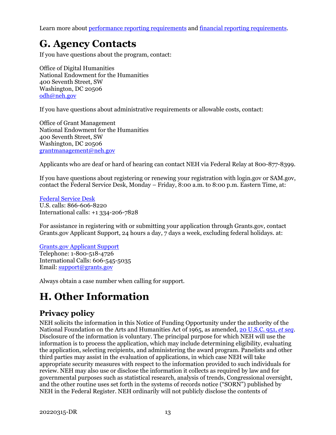Learn more abou[t performance reporting requirements](https://www.neh.gov/grants/manage/performance-reporting-requirements) and [financial reporting requirements.](https://www.neh.gov/grants/manage/financial-reporting-requirements)

# <span id="page-15-0"></span>**G. Agency Contacts**

If you have questions about the program, contact:

Office of Digital Humanities National Endowment for the Humanities 400 Seventh Street, SW Washington, DC 20506 [odh@neh.gov](mailto:odh@neh.gov)

If you have questions about administrative requirements or allowable costs, contact:

Office of Grant Management National Endowment for the Humanities 400 Seventh Street, SW Washington, DC 20506 [grantmanagement@neh.gov](mailto:grantmanagement@neh.gov)

Applicants who are deaf or hard of hearing can contact NEH via Federal Relay at 800-877-8399.

If you have questions about registering or renewing your registration with login.gov or SAM.gov, contact the Federal Service Desk, Monday – Friday, 8:00 a.m. to 8:00 p.m. Eastern Time, at:

[Federal Service Desk](https://www.fsd.gov/fsd-gov/home.do) U.S. calls: 866-606-8220 International calls: +1 334-206-7828

For assistance in registering with or submitting your application through Grants.gov, contact Grants.gov Applicant Support, 24 hours a day, 7 days a week, excluding federal holidays. at:

#### [Grants.gov Applicant Support](https://www.grants.gov/web/grants/support.html)

Telephone: 1-800-518-4726 International Calls: 606-545-5035 Email: [support@grants.gov](mailto:support@grants.gov)

<span id="page-15-1"></span>Always obtain a case number when calling for support.

# **H. Other Information**

### **Privacy policy**

NEH solicits the information in this Notice of Funding Opportunity under the authority of the National Foundation on the Arts and Humanities Act of 1965, as amended, [20 U.S.C. 951,](https://uscode.house.gov/view.xhtml?hl=false&edition=prelim&req=granuleid%3AUSC-prelim-title20-section951&num=0&saved=%7CKHRpdGxlOjIwIHNlY3Rpb246OTU2YSBlZGl0aW9uOnByZWxpbSk%3D%7C%7C%7C0%7Cfalse%7Cprelim) *et seq*. Disclosure of the information is voluntary. The principal purpose for which NEH will use the information is to process the application, which may include determining eligibility, evaluating the application, selecting recipients, and administering the award program. Panelists and other third parties may assist in the evaluation of applications, in which case NEH will take appropriate security measures with respect to the information provided to such individuals for review. NEH may also use or disclose the information it collects as required by law and for governmental purposes such as statistical research, analysis of trends, Congressional oversight, and the other routine uses set forth in the systems of records notice ("SORN") published by NEH in the Federal Register. NEH ordinarily will not publicly disclose the contents of